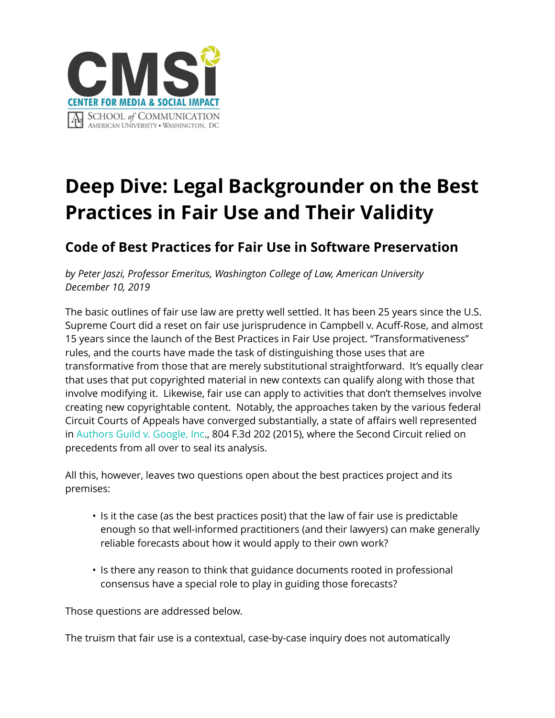

## **Deep Dive: Legal Backgrounder on the Best Practices in Fair Use and Their Validity**

## **Code of Best Practices for Fair Use in Software Preservation**

*by Peter Jaszi, Professor Emeritus, Washington College of Law, American University December 10, 2019*

The basic outlines of fair use law are pretty well settled. It has been 25 years since the U.S. Supreme Court did a reset on fair use jurisprudence in Campbell v. Acuff-Rose, and almost 15 years since the launch of the Best Practices in Fair Use project. "Transformativeness" rules, and the courts have made the task of distinguishing those uses that are transformative from those that are merely substitutional straightforward. It's equally clear that uses that put copyrighted material in new contexts can qualify along with those that involve modifying it. Likewise, fair use can apply to activities that don't themselves involve creating new copyrightable content. Notably, the approaches taken by the various federal Circuit Courts of Appeals have converged substantially, a state of affairs well represented in [Authors Guild v. Google, Inc.](https://law.justia.com/cases/federal/appellate-courts/ca2/13-4829/13-4829-2015-10-16.html), 804 F.3d 202 (2015), where the Second Circuit relied on precedents from all over to seal its analysis.

All this, however, leaves two questions open about the best practices project and its premises:

- Is it the case (as the best practices posit) that the law of fair use is predictable enough so that well-informed practitioners (and their lawyers) can make generally reliable forecasts about how it would apply to their own work?
- Is there any reason to think that guidance documents rooted in professional consensus have a special role to play in guiding those forecasts?

Those questions are addressed below.

The truism that fair use is a contextual, case-by-case inquiry does not automatically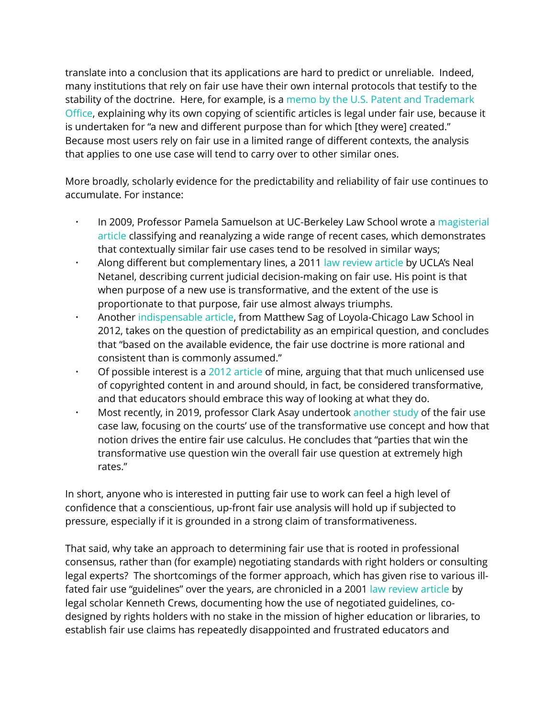translate into a conclusion that its applications are hard to predict or unreliable. Indeed, many institutions that rely on fair use have their own internal protocols that testify to the stability of the doctrine. Here, for example, is a [memo by the U.S. Patent and Trademark](https://cmsimpact.org/wp-content/uploads/2016/08/USPTO-fair-use.pdf)  Offi[ce](https://cmsimpact.org/wp-content/uploads/2016/08/USPTO-fair-use.pdf), explaining why its own copying of scientific articles is legal under fair use, because it is undertaken for "a new and different purpose than for which [they were] created." Because most users rely on fair use in a limited range of different contexts, the analysis that applies to one use case will tend to carry over to other similar ones.

More broadly, scholarly evidence for the predictability and reliability of fair use continues to accumulate. For instance:

- In 2009, Professor Pamela Samuelson at UC-Berkeley Law School wrote a magisterial [article](https://ir.lawnet.fordham.edu/cgi/viewcontent.cgi?article=4447&context=flr) classifying and reanalyzing a wide range of recent cases, which demonstrates that contextually similar fair use cases tend to be resolved in similar ways;
- Along different but complementary lines, a 2011 [law review article](https://papers.ssrn.com/sol3/papers.cfm?abstract_id=1874778) by UCLA's Neal Netanel, describing current judicial decision-making on fair use. His point is that when purpose of a new use is transformative, and the extent of the use is proportionate to that purpose, fair use almost always triumphs.
- Another [indispensable article,](https://lawecommons.luc.edu/cgi/viewcontent.cgi?article=1181&context=facpubs) from Matthew Sag of Loyola-Chicago Law School in 2012, takes on the question of predictability as an empirical question, and concludes that "based on the available evidence, the fair use doctrine is more rational and consistent than is commonly assumed."
- $\cdot$  Of possible interest is a [2012 article](https://cmsimpact.org/wp-content/uploads/2016/08/education-and-fair-use.pdf) of mine, arguing that that much unlicensed use of copyrighted content in and around should, in fact, be considered transformative, and that educators should embrace this way of looking at what they do.
- Most recently, in 2019, professor Clark Asay undertook [another study](https://papers.ssrn.com/sol3/papers.cfm?abstract_id=3332682) of the fair use case law, focusing on the courts' use of the transformative use concept and how that notion drives the entire fair use calculus. He concludes that "parties that win the transformative use question win the overall fair use question at extremely high rates."

In short, anyone who is interested in putting fair use to work can feel a high level of confidence that a conscientious, up-front fair use analysis will hold up if subjected to pressure, especially if it is grounded in a strong claim of transformativeness.

That said, why take an approach to determining fair use that is rooted in professional consensus, rather than (for example) negotiating standards with right holders or consulting legal experts? The shortcomings of the former approach, which has given rise to various illfated fair use "guidelines" over the years, are chronicled in a 2001 [law review article](https://cmsimpact.org/wp-content/uploads/2016/08/crews.pdf) by legal scholar Kenneth Crews, documenting how the use of negotiated guidelines, codesigned by rights holders with no stake in the mission of higher education or libraries, to establish fair use claims has repeatedly disappointed and frustrated educators and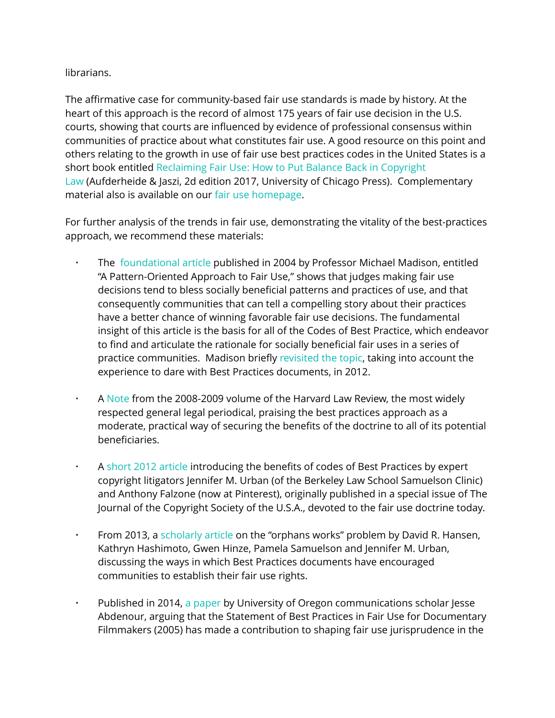## librarians.

The affirmative case for community-based fair use standards is made by history. At the heart of this approach is the record of almost 175 years of fair use decision in the U.S. courts, showing that courts are influenced by evidence of professional consensus within communities of practice about what constitutes fair use. A good resource on this point and others relating to the growth in use of fair use best practices codes in the United States is a short book entitled [Reclaiming Fair Use: How to Put Balance Back in Copyright](https://cmsimpact.org/resource/reclaiming-fair-use-put-balance-back-copyright/)  [Law](https://cmsimpact.org/resource/reclaiming-fair-use-put-balance-back-copyright/) (Aufderheide & Jaszi, 2d edition 2017, University of Chicago Press). Complementary material also is available on our [fair use homepage.](https://cmsimpact.org/program/fair-use/)

For further analysis of the trends in fair use, demonstrating the vitality of the best-practices approach, we recommend these materials:

- The [foundational article](https://papers.ssrn.com/sol3/papers.cfm?abstract_id=442441) published in 2004 by Professor Michael Madison, entitled "A Pattern-Oriented Approach to Fair Use," shows that judges making fair use decisions tend to bless socially beneficial patterns and practices of use, and that consequently communities that can tell a compelling story about their practices have a better chance of winning favorable fair use decisions. The fundamental insight of this article is the basis for all of the Codes of Best Practice, which endeavor to find and articulate the rationale for socially beneficial fair uses in a series of practice communities. Madison briefly [revisited the topic,](http://madisonian.net/downloads/papers/madisonianfairuse.pdf) taking into account the experience to dare with Best Practices documents, in 2012.
- A [Note](https://web.archive.org/web/20130228162716/http:/hlr.rubystudio.com/media/pdf/GEdAssistantwebsite,_newVolume_1225_March_PDFsnotesdesigning_the_publicdomain.pdf) from the 2008-2009 volume of the Harvard Law Review, the most widely respected general legal periodical, praising the best practices approach as a moderate, practical way of securing the benefits of the doctrine to all of its potential beneficiaries.
- A [short 2012 article](https://papers.ssrn.com/sol3/papers.cfm?abstract_id=2004030) introducing the benefits of codes of Best Practices by expert copyright litigators Jennifer M. Urban (of the Berkeley Law School Samuelson Clinic) and Anthony Falzone (now at Pinterest), originally published in a special issue of The Journal of the Copyright Society of the U.S.A., devoted to the fair use doctrine today.
- From 2013, a [scholarly article](https://scholarship.law.berkeley.edu/cgi/viewcontent.cgi?article=3342&context=facpubs) on the "orphans works" problem by David R. Hansen, Kathryn Hashimoto, Gwen Hinze, Pamela Samuelson and Jennifer M. Urban, discussing the ways in which Best Practices documents have encouraged communities to establish their fair use rights.
- Published in 2014, [a paper](https://www.researchgate.net/publication/263703600_Documenting_Fair_Use_Has_the_Statement_of_Best_Practices_Loosened_the_Fair_Use_Reins_for_Documentary_Filmmakers) by University of Oregon communications scholar Jesse Abdenour, arguing that the Statement of Best Practices in Fair Use for Documentary Filmmakers (2005) has made a contribution to shaping fair use jurisprudence in the